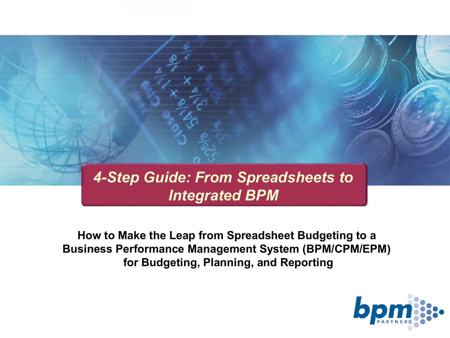### *4-Step Guide: From Spreadsheets to Integrated BPM*

**How to Make the Leap from Spreadsheet Budgeting to a Business Performance Management System (BPM/CPM/EPM) for Budgeting, Planning, and Reporting**

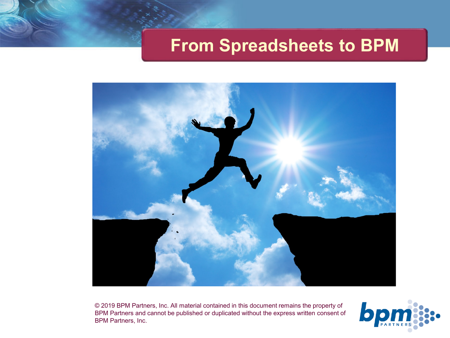### **From Spreadsheets to BPM**



© 2019 BPM Partners, Inc. All material contained in this document remains the property of BPM Partners and cannot be published or duplicated without the express written consent of BPM Partners, Inc.

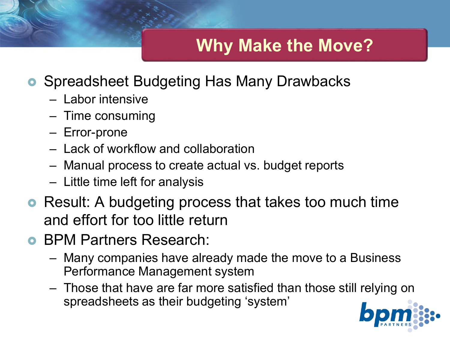# **Why Make the Move?**

- Spreadsheet Budgeting Has Many Drawbacks
	- Labor intensive
	- Time consuming
	- Error-prone
	- Lack of workflow and collaboration
	- Manual process to create actual vs. budget reports
	- Little time left for analysis
- **•** Result: A budgeting process that takes too much time and effort for too little return
- BPM Partners Research:
	- Many companies have already made the move to a Business Performance Management system
	- Those that have are far more satisfied than those still relying on spreadsheets as their budgeting 'system'

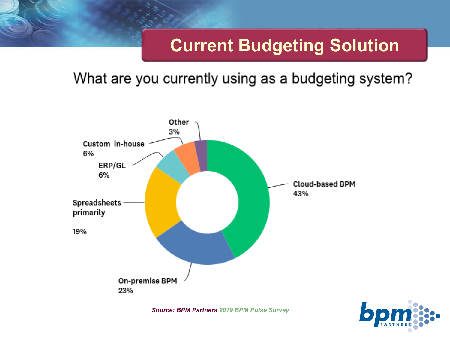# **Current Budgeting Solution**

#### What are you currently using as a budgeting system?



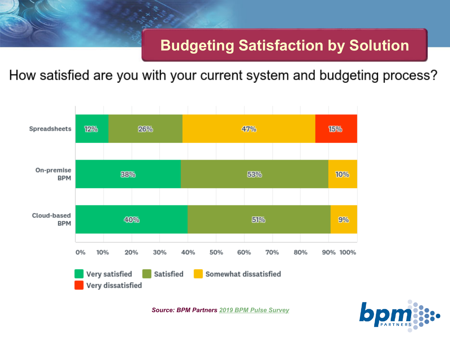#### **Budgeting Satisfaction by Solution**

How satisfied are you with your current system and budgeting process?



*Source: BPM Partners [2019 BPM Pulse Survey](https://www.bpmpartners.com/2019/07/22/bpm-pulse-2019-survey-results-the-evolution-of-performance-management/)* 

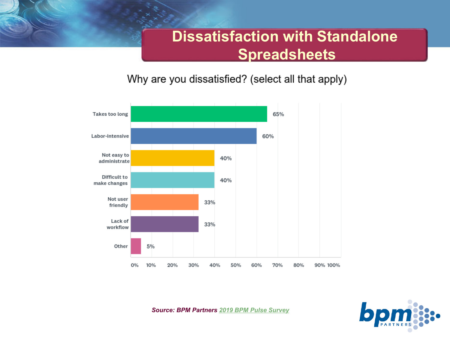#### **Dissatisfaction with Standalone Spreadsheets**

Why are you dissatisfied? (select all that apply)





*Source: BPM Partners [2019 BPM Pulse Survey](https://www.bpmpartners.com/2019/07/22/bpm-pulse-2019-survey-results-the-evolution-of-performance-management/)*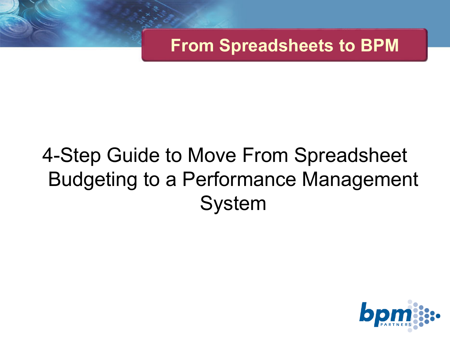**From Spreadsheets to BPM**

# 4-Step Guide to Move From Spreadsheet Budgeting to a Performance Management System

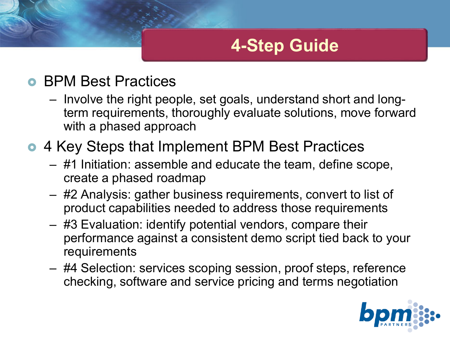## **4-Step Guide**

#### **• BPM Best Practices**

– Involve the right people, set goals, understand short and longterm requirements, thoroughly evaluate solutions, move forward with a phased approach

### **• 4 Key Steps that Implement BPM Best Practices**

- #1 Initiation: assemble and educate the team, define scope, create a phased roadmap
- #2 Analysis: gather business requirements, convert to list of product capabilities needed to address those requirements
- #3 Evaluation: identify potential vendors, compare their performance against a consistent demo script tied back to your requirements
- #4 Selection: services scoping session, proof steps, reference checking, software and service pricing and terms negotiation

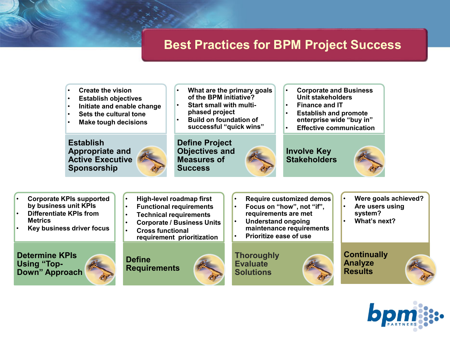#### **Best Practices for BPM Project Success**

- **Create the vision**
- **Establish objectives**
- **Initiate and enable change**
- **Sets the cultural tone**
- **Make tough decisions**

**Establish Appropriate and Active Executive Sponsorship**

• **High-level roadmap first** • **Functional requirements** • **Technical requirements** • **Corporate / Business Units**

**requirement prioritization**

• **Cross functional** 

- **What are the primary goals of the BPM initiative?**
- **Start small with multiphased project**
- **Build on foundation of successful "quick wins"**

**Define Project Objectives and Measures of Success**



- **Corporate and Business Unit stakeholders**
- **Finance and IT**
- **Establish and promote enterprise wide "buy in"**
- **Effective communication**

#### **Involve Key Stakeholders**



- **Corporate KPIs supported by business unit KPIs**
- **Differentiate KPIs from Metrics**
- **Key business driver focus**

**Determine KPIs Using "Top-Down" Approach**



- **Require customized demos**
- **Focus on "how", not "if", requirements are met**
- **Understand ongoing maintenance requirements**
- **Prioritize ease of use**

**Thoroughly Evaluate Solutions**

- **Were goals achieved?**
- **Are users using system?**
- **What's next?**

**Continually Analyze Results**



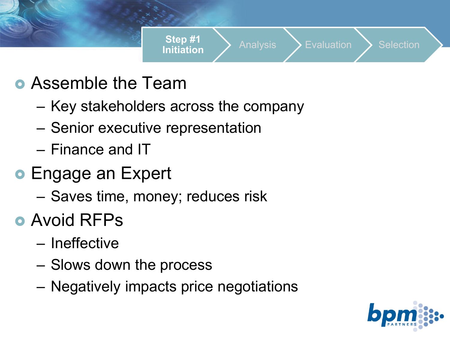

- **Assemble the Team** 
	- Key stakeholders across the company
	- Senior executive representation
	- Finance and IT
- **Engage an Expert** 
	- Saves time, money; reduces risk
- **Avoid RFPs** 
	- Ineffective
	- Slows down the process
	- Negatively impacts price negotiations

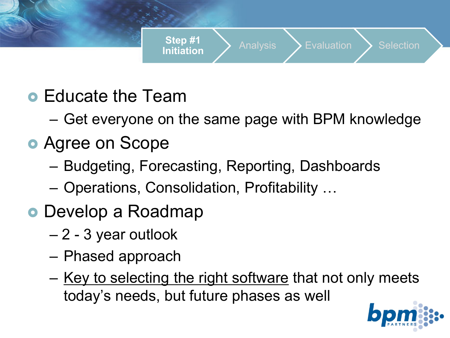

- **Educate the Team** 
	- Get everyone on the same page with BPM knowledge
- Agree on Scope
	- Budgeting, Forecasting, Reporting, Dashboards
	- Operations, Consolidation, Profitability …
- Develop a Roadmap
	- 2 3 year outlook
	- Phased approach
	- Key to selecting the right software that not only meets today's needs, but future phases as well

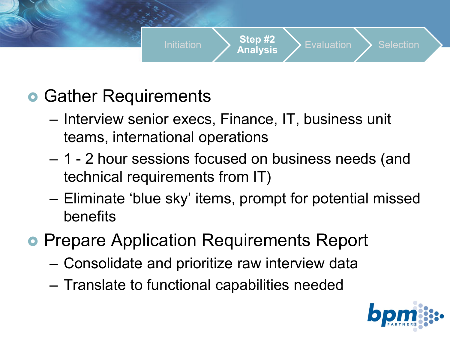

- **Gather Requirements** 
	- Interview senior execs, Finance, IT, business unit teams, international operations
	- 1 2 hour sessions focused on business needs (and technical requirements from IT)
	- Eliminate 'blue sky' items, prompt for potential missed benefits
- **Prepare Application Requirements Report** 
	- Consolidate and prioritize raw interview data
	- Translate to functional capabilities needed

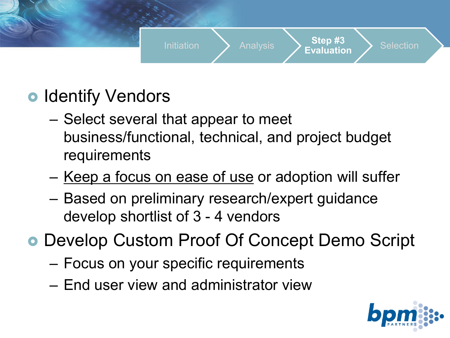

- **Identify Vendors** 
	- Select several that appear to meet business/functional, technical, and project budget requirements
	- Keep a focus on ease of use or adoption will suffer
	- Based on preliminary research/expert guidance develop shortlist of 3 - 4 vendors
- Develop Custom Proof Of Concept Demo Script
	- Focus on your specific requirements
	- End user view and administrator view

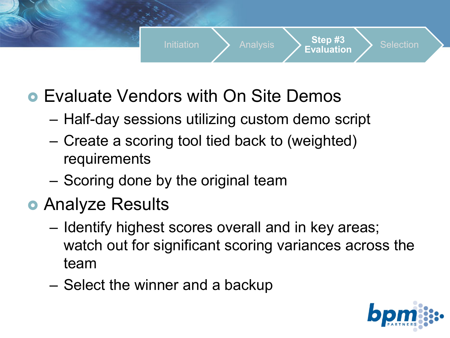

- Evaluate Vendors with On Site Demos
	- Half-day sessions utilizing custom demo script
	- Create a scoring tool tied back to (weighted) requirements
	- Scoring done by the original team
- **Analyze Results** 
	- Identify highest scores overall and in key areas; watch out for significant scoring variances across the team
	- Select the winner and a backup

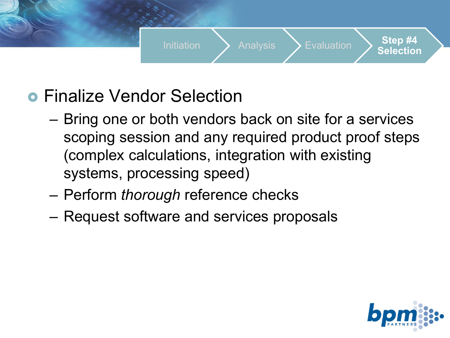

- **Finalize Vendor Selection** 
	- Bring one or both vendors back on site for a services scoping session and any required product proof steps (complex calculations, integration with existing systems, processing speed)
	- Perform *thorough* reference checks
	- Request software and services proposals

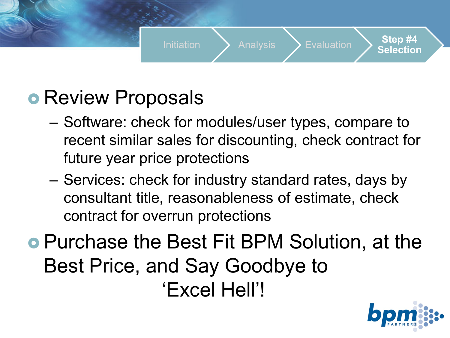

# **• Review Proposals**

- Software: check for modules/user types, compare to recent similar sales for discounting, check contract for future year price protections
- Services: check for industry standard rates, days by consultant title, reasonableness of estimate, check contract for overrun protections

 Purchase the Best Fit BPM Solution, at the Best Price, and Say Goodbye to 'Excel Hell'!

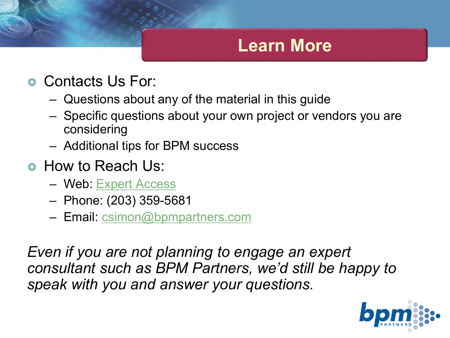### **Learn More**

- **Contacts Us For:** 
	- Questions about any of the material in this guide
	- Specific questions about your own project or vendors you are considering
	- Additional tips for BPM success
- **How to Reach Us:** 
	- Web: [Expert Access](https://www.bpmpartners.com/services/free-trial/)
	- Phone: (203) 359-5681
	- Email: [csimon@bpmpartners.com](mailto:csimon@bpmpartners.com?subject=4-Step%20Budgeting%20Guide%20Follow-Up)

*Even if you are not planning to engage an expert consultant such as BPM Partners, we'd still be happy to speak with you and answer your questions.*